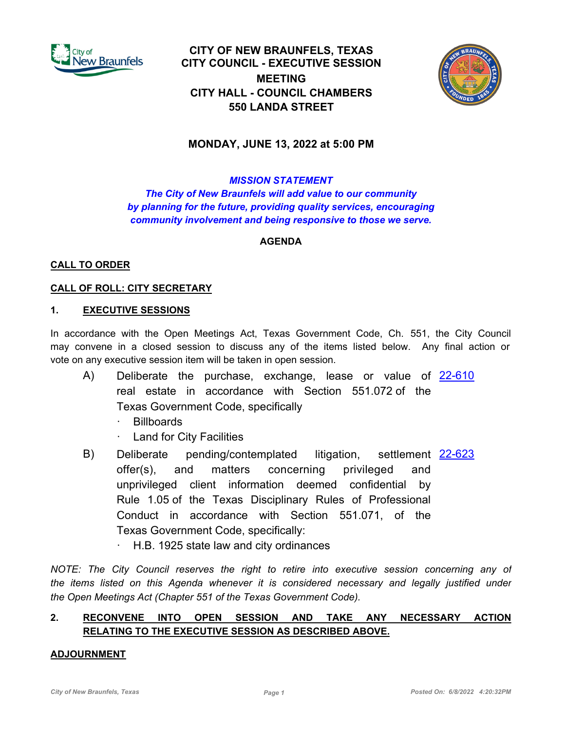

**CITY OF NEW BRAUNFELS, TEXAS CITY COUNCIL - EXECUTIVE SESSION MEETING CITY HALL - COUNCIL CHAMBERS 550 LANDA STREET**



# **MONDAY, JUNE 13, 2022 at 5:00 PM**

## *MISSION STATEMENT*

*The City of New Braunfels will add value to our community by planning for the future, providing quality services, encouraging community involvement and being responsive to those we serve.*

## **AGENDA**

## **CALL TO ORDER**

## **CALL OF ROLL: CITY SECRETARY**

#### **1. EXECUTIVE SESSIONS**

In accordance with the Open Meetings Act, Texas Government Code, Ch. 551, the City Council may convene in a closed session to discuss any of the items listed below. Any final action or vote on any executive session item will be taken in open session.

- A) Deliberate the purchase, exchange, lease or value of [22-610](http://newbraunfels.legistar.com/gateway.aspx?m=l&id=/matter.aspx?key=10623) real estate in accordance with Section 551.072 of the Texas Government Code, specifically
	- **Billboards**
	- Land for City Facilities
- B) Deliberate pending/contemplated litigation, settlement [22-623](http://newbraunfels.legistar.com/gateway.aspx?m=l&id=/matter.aspx?key=10636) offer(s), and matters concerning privileged and unprivileged client information deemed confidential by Rule 1.05 of the Texas Disciplinary Rules of Professional Conduct in accordance with Section 551.071, of the Texas Government Code, specifically:
	- · H.B. 1925 state law and city ordinances

*NOTE: The City Council reserves the right to retire into executive session concerning any of the items listed on this Agenda whenever it is considered necessary and legally justified under the Open Meetings Act (Chapter 551 of the Texas Government Code).*

# **2. RECONVENE INTO OPEN SESSION AND TAKE ANY NECESSARY ACTION RELATING TO THE EXECUTIVE SESSION AS DESCRIBED ABOVE.**

#### **ADJOURNMENT**